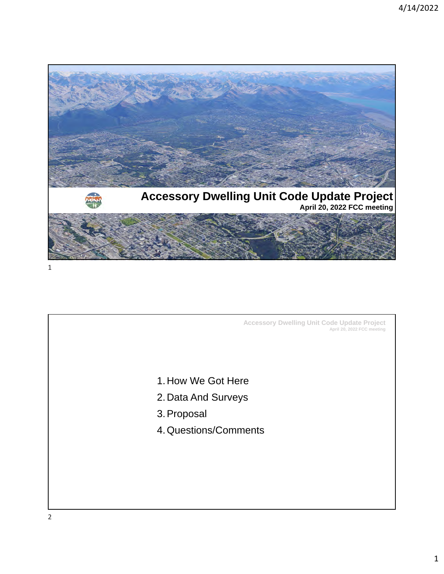

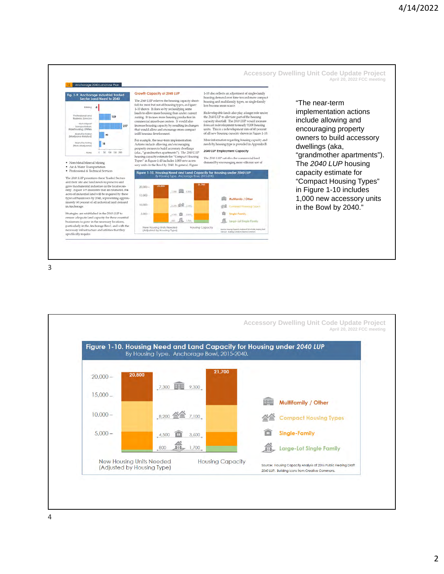



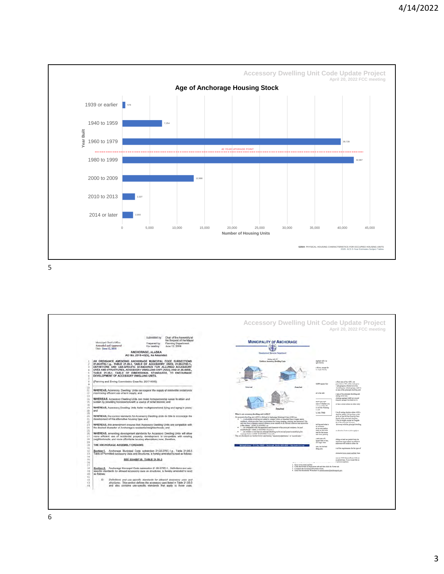

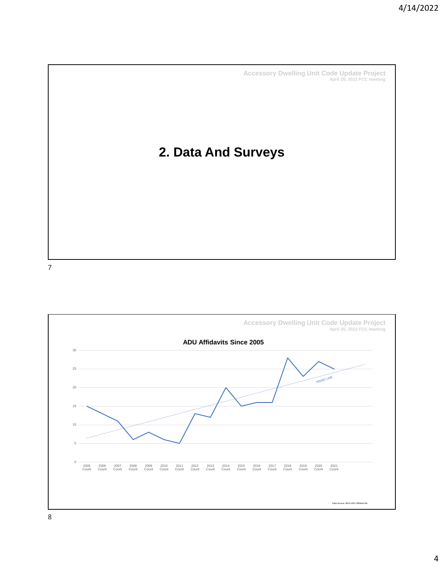## **2. Data And Surveys**

7

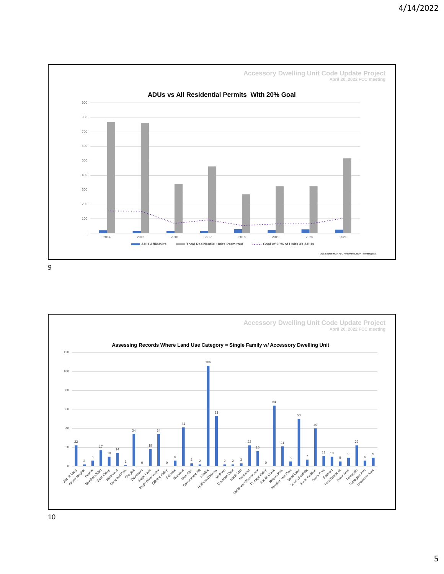

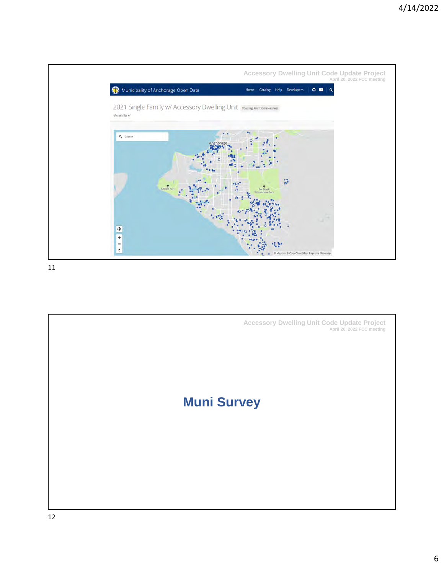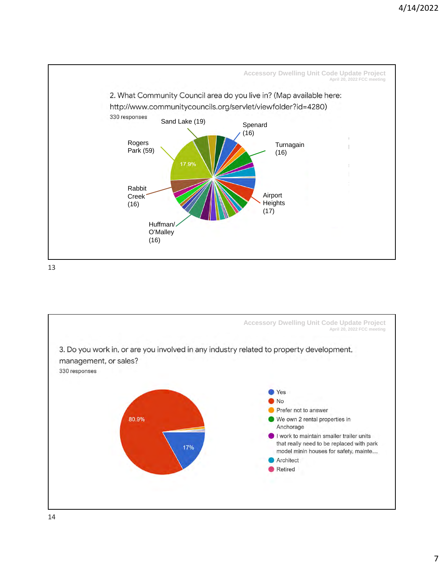

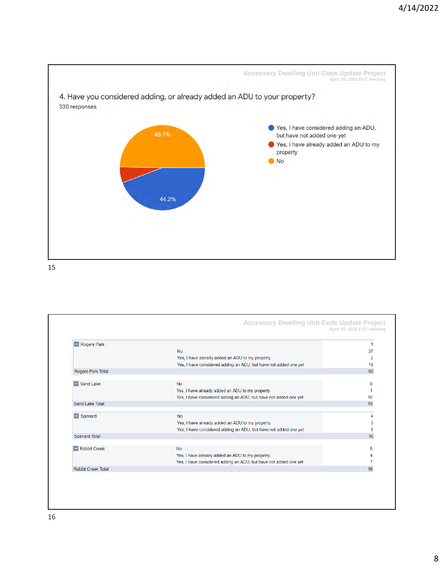

| Rogers Park               |                                                                  |    |
|---------------------------|------------------------------------------------------------------|----|
|                           | <b>No</b>                                                        | 37 |
|                           | Yes, I have already added an ADU to my property                  |    |
|                           | Yes, I have considered adding an ADU, but have not added one yet | 19 |
| Rogers Park Total         |                                                                  | 59 |
|                           |                                                                  |    |
| $\Box$ Sand Lake          | <b>No</b>                                                        | 8  |
|                           | Yes, I have already added an ADU to my property                  |    |
|                           | Yes, I have considered adding an ADU, but have not added one yet | 10 |
| Sand Lake Total           |                                                                  | 19 |
| $\blacksquare$ Spenard    | <b>No</b>                                                        |    |
|                           | Yes, I have already added an ADU to my property                  |    |
|                           | Yes, I have considered adding an ADU, but have not added one yet |    |
| Spenard Total             |                                                                  | 16 |
|                           |                                                                  |    |
| Rabbit Creek              | <b>No</b>                                                        | 5  |
|                           | Yes, I have already added an ADU to my property                  |    |
|                           | Yes, I have considered adding an ADU, but have not added one yet |    |
| <b>Rabbit Creek Total</b> |                                                                  | 16 |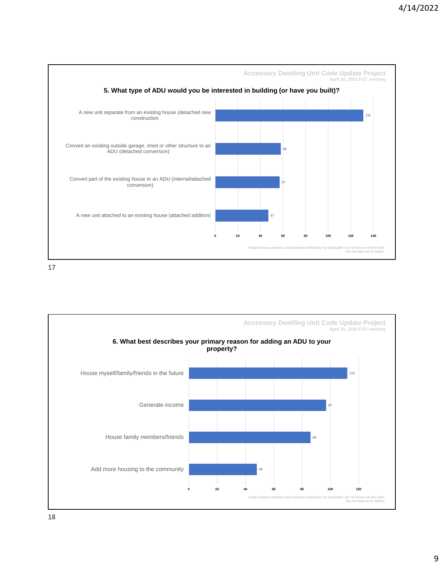

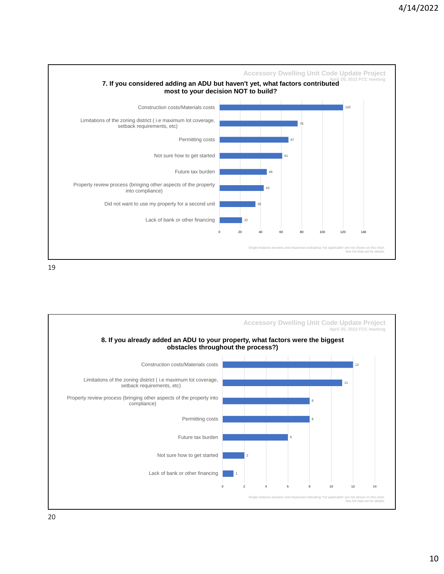

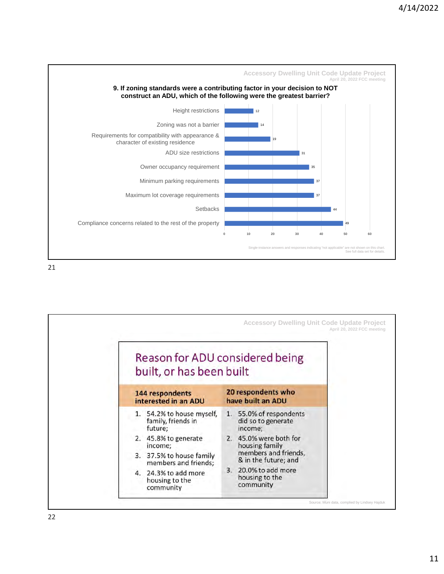

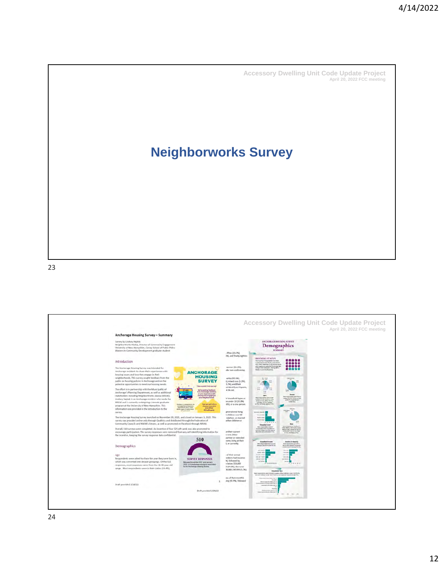## **Neighborworks Survey**

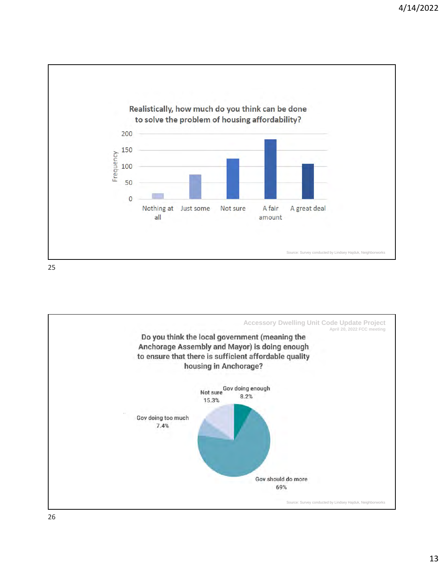

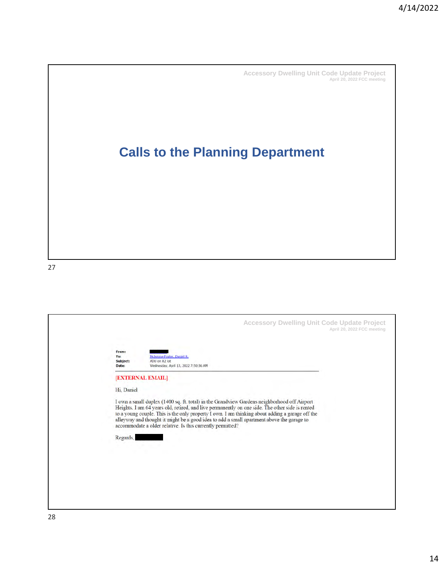## **Calls to the Planning Department**

| <b>Accessory Dwelling Unit Code Update Project</b><br>April 20, 2022 FCC meeting<br>From:<br>Mckenna-Foster, Daniel R.<br>To:<br>Subject:<br>ADU on R2 lot<br>Wednesday, April 13, 2022 7:50:36 AM<br>Date:                                                                                                                                                                                                                                                                                         |
|-----------------------------------------------------------------------------------------------------------------------------------------------------------------------------------------------------------------------------------------------------------------------------------------------------------------------------------------------------------------------------------------------------------------------------------------------------------------------------------------------------|
| <b>EXTERNAL EMAIL</b><br>Hi, Daniel<br>I own a small duplex (1400 sq. ft. total) in the Grandview Gardens neighborhood off Airport<br>Heights. I am 64 years old, retired, and live permanently on one side. The other side is rented<br>to a young couple. This is the only property I own. I am thinking about adding a garage off the<br>alleyway and thought it might be a good idea to add a small apartment above the garage to<br>accommodate a older relative. Is this currently permitted? |
| Regards,                                                                                                                                                                                                                                                                                                                                                                                                                                                                                            |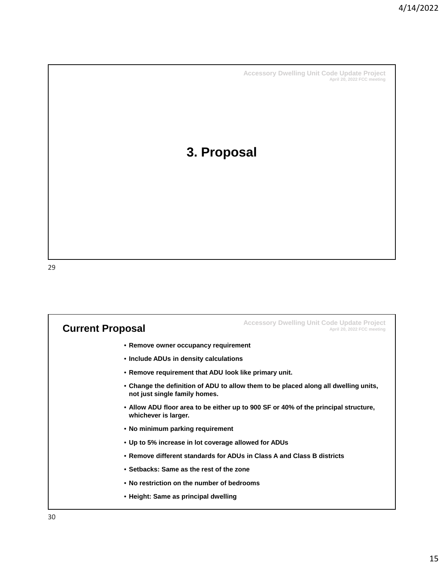#### **3. Proposal**

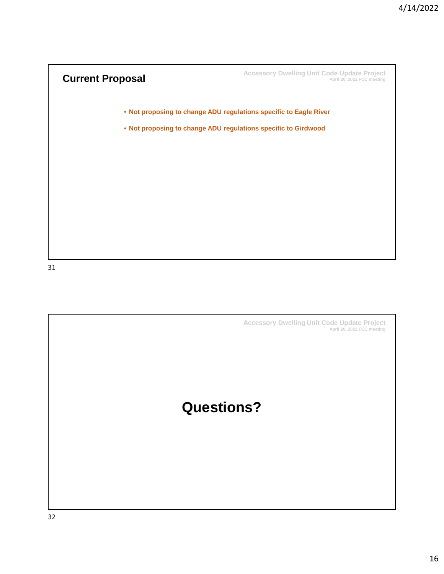